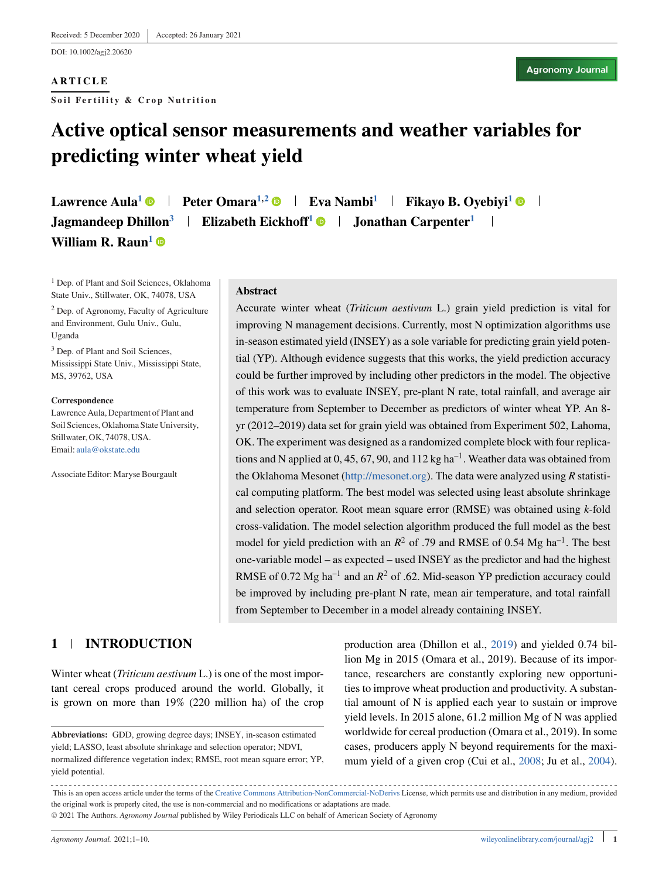DOI: 10.1002/agj2.20620

## **ARTICLE**

**Soil Fertility & Crop Nutrition**

# **Active optical sensor measurements and weather variables for predicting winter wheat yield**

**Lawrence Aula<sup>1</sup>**  $\bullet$  **| Peter Omara<sup>1,2</sup>**  $\bullet$  **| Eva Nambi<sup>1</sup> | Fikayo B. Ovebivi<sup>1</sup>**  $\bullet$  **| Jagmandeep Dhillon<sup>3</sup> | Elizabeth Eickhoff<sup>1</sup> • Jonathan Carpenter<sup>1</sup> William R. Raun<sup>1</sup>** 

<sup>1</sup> Dep. of Plant and Soil Sciences, Oklahoma State Univ., Stillwater, OK, 74078, USA

<sup>2</sup> Dep. of Agronomy, Faculty of Agriculture and Environment, Gulu Univ., Gulu, Uganda

<sup>3</sup> Dep. of Plant and Soil Sciences, Mississippi State Univ., Mississippi State, MS, 39762, USA

#### **Correspondence**

Lawrence Aula, Department of Plant and Soil Sciences, Oklahoma State University, Stillwater, OK, 74078, USA. Email: [aula@okstate.edu](mailto:aula@okstate.edu)

Associate Editor: Maryse Bourgault

### **Abstract**

Accurate winter wheat (*Triticum aestivum* L.) grain yield prediction is vital for improving N management decisions. Currently, most N optimization algorithms use in-season estimated yield (INSEY) as a sole variable for predicting grain yield potential (YP). Although evidence suggests that this works, the yield prediction accuracy could be further improved by including other predictors in the model. The objective of this work was to evaluate INSEY, pre-plant N rate, total rainfall, and average air temperature from September to December as predictors of winter wheat YP. An 8 yr (2012–2019) data set for grain yield was obtained from Experiment 502, Lahoma, OK. The experiment was designed as a randomized complete block with four replications and N applied at 0, 45, 67, 90, and 112 kg ha<sup>-1</sup>. Weather data was obtained from the Oklahoma Mesonet [\(http://mesonet.org\)](http://mesonet.org). The data were analyzed using *R* statistical computing platform. The best model was selected using least absolute shrinkage and selection operator. Root mean square error (RMSE) was obtained using *k*-fold cross-validation. The model selection algorithm produced the full model as the best model for yield prediction with an  $R^2$  of .79 and RMSE of 0.54 Mg ha<sup>-1</sup>. The best one-variable model – as expected – used INSEY as the predictor and had the highest RMSE of 0.72 Mg ha<sup>-1</sup> and an  $R^2$  of .62. Mid-season YP prediction accuracy could be improved by including pre-plant N rate, mean air temperature, and total rainfall from September to December in a model already containing INSEY.

# **1 INTRODUCTION**

Winter wheat (*Triticum aestivum* L.) is one of the most important cereal crops produced around the world. Globally, it is grown on more than 19% (220 million ha) of the crop

production area (Dhillon et al., [2019\)](#page-7-0) and yielded 0.74 billion Mg in 2015 (Omara et al., 2019). Because of its importance, researchers are constantly exploring new opportunities to improve wheat production and productivity. A substantial amount of N is applied each year to sustain or improve yield levels. In 2015 alone, 61.2 million Mg of N was applied worldwide for cereal production (Omara et al., 2019). In some cases, producers apply N beyond requirements for the maximum yield of a given crop (Cui et al., [2008;](#page-7-0) Ju et al., [2004\)](#page-8-0).

**Abbreviations:** GDD, growing degree days; INSEY, in-season estimated yield; LASSO, least absolute shrinkage and selection operator; NDVI, normalized difference vegetation index; RMSE, root mean square error; YP, yield potential.

This is an open access article under the terms of the [Creative Commons Attribution-NonCommercial-NoDerivs](http://creativecommons.org/licenses/by-nc-nd/4.0/) License, which permits use and distribution in any medium, provided the original work is properly cited, the use is non-commercial and no modifications or adaptations are made. © 2021 The Authors. *Agronomy Journal* published by Wiley Periodicals LLC on behalf of American Society of Agronomy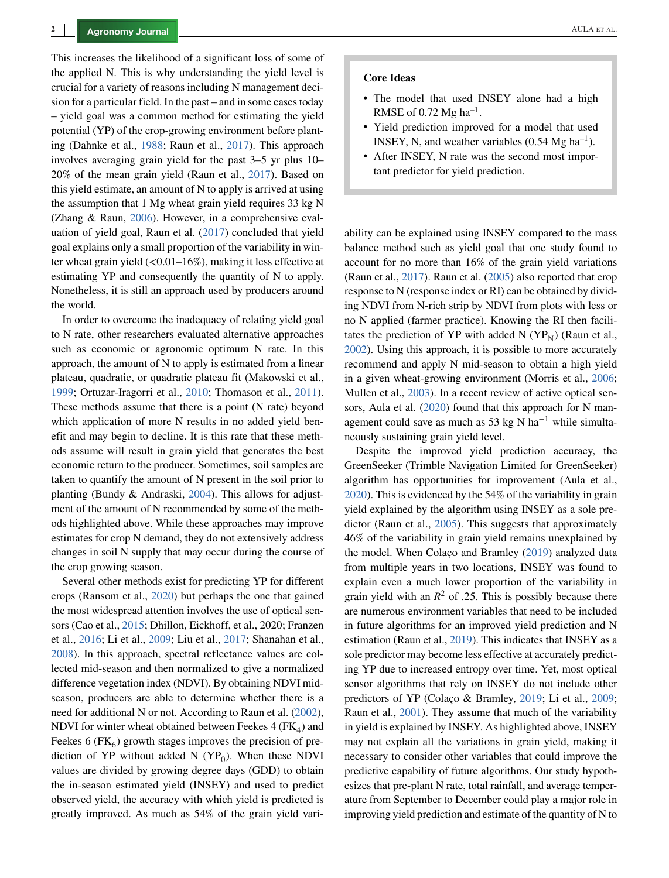This increases the likelihood of a significant loss of some of the applied N. This is why understanding the yield level is crucial for a variety of reasons including N management decision for a particular field. In the past – and in some cases today – yield goal was a common method for estimating the yield potential (YP) of the crop-growing environment before planting (Dahnke et al., [1988;](#page-7-0) Raun et al., [2017\)](#page-8-0). This approach involves averaging grain yield for the past 3–5 yr plus 10– 20% of the mean grain yield (Raun et al., [2017\)](#page-8-0). Based on this yield estimate, an amount of N to apply is arrived at using the assumption that 1 Mg wheat grain yield requires 33 kg N (Zhang & Raun, [2006\)](#page-9-0). However, in a comprehensive evaluation of yield goal, Raun et al. [\(2017\)](#page-8-0) concluded that yield goal explains only a small proportion of the variability in winter wheat grain yield (*<*0.01–16%), making it less effective at estimating YP and consequently the quantity of N to apply. Nonetheless, it is still an approach used by producers around the world.

In order to overcome the inadequacy of relating yield goal to N rate, other researchers evaluated alternative approaches such as economic or agronomic optimum N rate. In this approach, the amount of N to apply is estimated from a linear plateau, quadratic, or quadratic plateau fit (Makowski et al., [1999;](#page-8-0) Ortuzar-Iragorri et al., [2010;](#page-8-0) Thomason et al., [2011\)](#page-8-0). These methods assume that there is a point (N rate) beyond which application of more N results in no added yield benefit and may begin to decline. It is this rate that these methods assume will result in grain yield that generates the best economic return to the producer. Sometimes, soil samples are taken to quantify the amount of N present in the soil prior to planting (Bundy & Andraski, [2004\)](#page-7-0). This allows for adjustment of the amount of N recommended by some of the methods highlighted above. While these approaches may improve estimates for crop N demand, they do not extensively address changes in soil N supply that may occur during the course of the crop growing season.

Several other methods exist for predicting YP for different crops (Ransom et al., [2020\)](#page-8-0) but perhaps the one that gained the most widespread attention involves the use of optical sensors (Cao et al., [2015;](#page-7-0) Dhillon, Eickhoff, et al., 2020; Franzen et al., [2016;](#page-7-0) Li et al., [2009;](#page-8-0) Liu et al., [2017;](#page-8-0) Shanahan et al., [2008\)](#page-8-0). In this approach, spectral reflectance values are collected mid-season and then normalized to give a normalized difference vegetation index (NDVI). By obtaining NDVI midseason, producers are able to determine whether there is a need for additional N or not. According to Raun et al. [\(2002\)](#page-8-0), NDVI for winter wheat obtained between Feekes  $4$  (FK<sub>4</sub>) and Feekes 6 ( $FK<sub>6</sub>$ ) growth stages improves the precision of prediction of YP without added N  $(YP_0)$ . When these NDVI values are divided by growing degree days (GDD) to obtain the in-season estimated yield (INSEY) and used to predict observed yield, the accuracy with which yield is predicted is greatly improved. As much as 54% of the grain yield vari-

### **Core Ideas**

- The model that used INSEY alone had a high RMSE of 0.72 Mg ha<sup>-1</sup>.
- ∙ Yield prediction improved for a model that used INSEY, N, and weather variables  $(0.54 \text{ Mg} \text{ ha}^{-1})$ .
- ∙ After INSEY, N rate was the second most important predictor for yield prediction.

ability can be explained using INSEY compared to the mass balance method such as yield goal that one study found to account for no more than 16% of the grain yield variations (Raun et al., [2017\)](#page-8-0). Raun et al. [\(2005\)](#page-8-0) also reported that crop response to N (response index or RI) can be obtained by dividing NDVI from N-rich strip by NDVI from plots with less or no N applied (farmer practice). Knowing the RI then facilitates the prediction of YP with added N  $(YP_N)$  (Raun et al., [2002\)](#page-8-0). Using this approach, it is possible to more accurately recommend and apply N mid-season to obtain a high yield in a given wheat-growing environment (Morris et al., [2006;](#page-8-0) Mullen et al., [2003\)](#page-8-0). In a recent review of active optical sen-sors, Aula et al. [\(2020\)](#page-7-0) found that this approach for N management could save as much as 53 kg N ha<sup> $-1$ </sup> while simultaneously sustaining grain yield level.

Despite the improved yield prediction accuracy, the GreenSeeker (Trimble Navigation Limited for GreenSeeker) algorithm has opportunities for improvement (Aula et al., [2020\)](#page-7-0). This is evidenced by the 54% of the variability in grain yield explained by the algorithm using INSEY as a sole pre-dictor (Raun et al., [2005\)](#page-8-0). This suggests that approximately 46% of the variability in grain yield remains unexplained by the model. When Colaço and Bramley [\(2019\)](#page-7-0) analyzed data from multiple years in two locations, INSEY was found to explain even a much lower proportion of the variability in grain yield with an  $R^2$  of .25. This is possibly because there are numerous environment variables that need to be included in future algorithms for an improved yield prediction and N estimation (Raun et al., [2019\)](#page-8-0). This indicates that INSEY as a sole predictor may become less effective at accurately predicting YP due to increased entropy over time. Yet, most optical sensor algorithms that rely on INSEY do not include other predictors of YP (Colaço & Bramley, [2019;](#page-7-0) Li et al., [2009;](#page-8-0) Raun et al., [2001\)](#page-8-0). They assume that much of the variability in yield is explained by INSEY. As highlighted above, INSEY may not explain all the variations in grain yield, making it necessary to consider other variables that could improve the predictive capability of future algorithms. Our study hypothesizes that pre-plant N rate, total rainfall, and average temperature from September to December could play a major role in improving yield prediction and estimate of the quantity of N to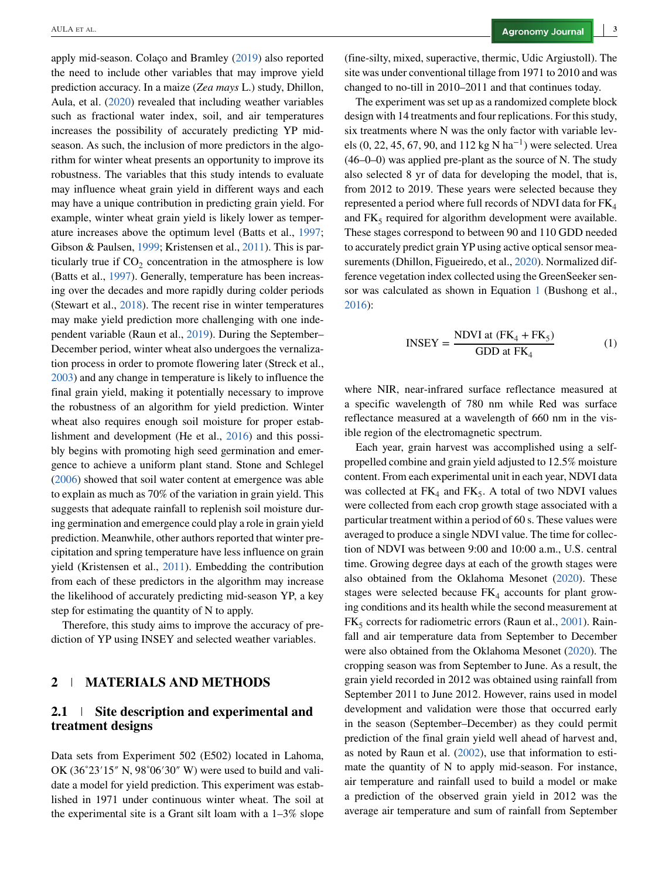apply mid-season. Colaço and Bramley [\(2019\)](#page-7-0) also reported the need to include other variables that may improve yield prediction accuracy. In a maize (*Zea mays* L.) study, Dhillon, Aula, et al. [\(2020\)](#page-7-0) revealed that including weather variables such as fractional water index, soil, and air temperatures increases the possibility of accurately predicting YP midseason. As such, the inclusion of more predictors in the algorithm for winter wheat presents an opportunity to improve its robustness. The variables that this study intends to evaluate may influence wheat grain yield in different ways and each may have a unique contribution in predicting grain yield. For example, winter wheat grain yield is likely lower as temperature increases above the optimum level (Batts et al., [1997;](#page-7-0) Gibson & Paulsen, [1999;](#page-7-0) Kristensen et al., [2011\)](#page-8-0). This is particularly true if  $CO<sub>2</sub>$  concentration in the atmosphere is low (Batts et al., [1997\)](#page-7-0). Generally, temperature has been increasing over the decades and more rapidly during colder periods (Stewart et al., [2018\)](#page-8-0). The recent rise in winter temperatures may make yield prediction more challenging with one independent variable (Raun et al., [2019\)](#page-8-0). During the September– December period, winter wheat also undergoes the vernalization process in order to promote flowering later (Streck et al., [2003\)](#page-8-0) and any change in temperature is likely to influence the final grain yield, making it potentially necessary to improve the robustness of an algorithm for yield prediction. Winter wheat also requires enough soil moisture for proper establishment and development (He et al., [2016\)](#page-7-0) and this possibly begins with promoting high seed germination and emergence to achieve a uniform plant stand. Stone and Schlegel [\(2006\)](#page-8-0) showed that soil water content at emergence was able to explain as much as 70% of the variation in grain yield. This suggests that adequate rainfall to replenish soil moisture during germination and emergence could play a role in grain yield prediction. Meanwhile, other authors reported that winter precipitation and spring temperature have less influence on grain yield (Kristensen et al., [2011\)](#page-8-0). Embedding the contribution from each of these predictors in the algorithm may increase the likelihood of accurately predicting mid-season YP, a key step for estimating the quantity of N to apply.

Therefore, this study aims to improve the accuracy of prediction of YP using INSEY and selected weather variables.

## **2 MATERIALS AND METHODS**

## **2.1 Site description and experimental and treatment designs**

Data sets from Experiment 502 (E502) located in Lahoma, OK (36˚23′15″ N, 98˚06′30″ W) were used to build and validate a model for yield prediction. This experiment was established in 1971 under continuous winter wheat. The soil at the experimental site is a Grant silt loam with a 1–3% slope (fine-silty, mixed, superactive, thermic, Udic Argiustoll). The site was under conventional tillage from 1971 to 2010 and was changed to no-till in 2010–2011 and that continues today.

The experiment was set up as a randomized complete block design with 14 treatments and four replications. For this study, six treatments where N was the only factor with variable levels (0, 22, 45, 67, 90, and 112 kg N ha<sup>-1</sup>) were selected. Urea (46–0–0) was applied pre-plant as the source of N. The study also selected 8 yr of data for developing the model, that is, from 2012 to 2019. These years were selected because they represented a period where full records of NDVI data for  $FK<sub>4</sub>$ and  $FK<sub>5</sub>$  required for algorithm development were available. These stages correspond to between 90 and 110 GDD needed to accurately predict grain YP using active optical sensor measurements (Dhillon, Figueiredo, et al., [2020\)](#page-7-0). Normalized difference vegetation index collected using the GreenSeeker sensor was calculated as shown in Equation 1 (Bushong et al., [2016\)](#page-7-0):

$$
INSEY = \frac{NDVI \text{ at } (FK_4 + FK_5)}{GDD \text{ at } FK_4}
$$
 (1)

where NIR, near-infrared surface reflectance measured at a specific wavelength of 780 nm while Red was surface reflectance measured at a wavelength of 660 nm in the visible region of the electromagnetic spectrum.

Each year, grain harvest was accomplished using a selfpropelled combine and grain yield adjusted to 12.5% moisture content. From each experimental unit in each year, NDVI data was collected at  $FK_4$  and  $FK_5$ . A total of two NDVI values were collected from each crop growth stage associated with a particular treatment within a period of 60 s. These values were averaged to produce a single NDVI value. The time for collection of NDVI was between 9:00 and 10:00 a.m., U.S. central time. Growing degree days at each of the growth stages were also obtained from the Oklahoma Mesonet [\(2020\)](#page-8-0). These stages were selected because  $FK<sub>4</sub>$  accounts for plant growing conditions and its health while the second measurement at  $FK<sub>5</sub>$  corrects for radiometric errors (Raun et al., [2001\)](#page-8-0). Rainfall and air temperature data from September to December were also obtained from the Oklahoma Mesonet [\(2020\)](#page-8-0). The cropping season was from September to June. As a result, the grain yield recorded in 2012 was obtained using rainfall from September 2011 to June 2012. However, rains used in model development and validation were those that occurred early in the season (September–December) as they could permit prediction of the final grain yield well ahead of harvest and, as noted by Raun et al. [\(2002\)](#page-8-0), use that information to estimate the quantity of N to apply mid-season. For instance, air temperature and rainfall used to build a model or make a prediction of the observed grain yield in 2012 was the average air temperature and sum of rainfall from September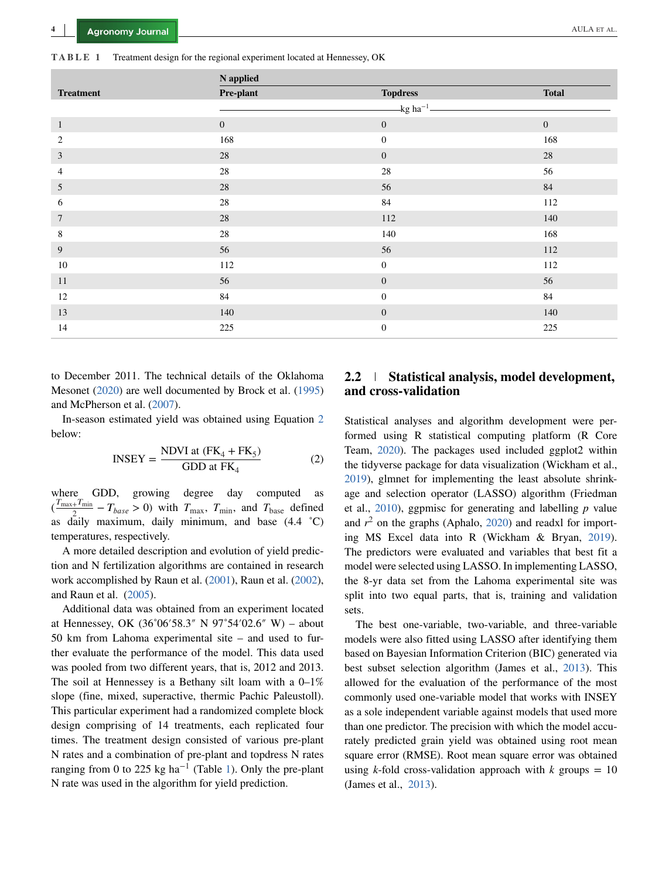**TABLE 1** Treatment design for the regional experiment located at Hennessey, OK

|                  | N applied        |                          |              |
|------------------|------------------|--------------------------|--------------|
| <b>Treatment</b> | Pre-plant        | <b>Topdress</b>          | <b>Total</b> |
|                  |                  | $-kg$ ha <sup>-1</sup> - |              |
| $\mathbf{1}$     | $\boldsymbol{0}$ | $\mathbf{0}$             | $\mathbf{0}$ |
| $\overline{c}$   | 168              | $\boldsymbol{0}$         | 168          |
| $\mathfrak{Z}$   | $28\,$           | $\boldsymbol{0}$         | $28\,$       |
| 4                | $28\,$           | $28\,$                   | 56           |
| $\mathfrak{I}$   | $28\,$           | 56                       | 84           |
| 6                | 28               | 84                       | 112          |
| $\tau$           | $28\,$           | 112                      | 140          |
| 8                | 28               | 140                      | 168          |
| 9                | 56               | 56                       | 112          |
| $10\,$           | 112              | $\boldsymbol{0}$         | 112          |
| 11               | 56               | $\mathbf{0}$             | 56           |
| 12               | 84               | $\boldsymbol{0}$         | 84           |
| 13               | 140              | $\mathbf{0}$             | 140          |
| 14               | 225              | $\boldsymbol{0}$         | 225          |

to December 2011. The technical details of the Oklahoma Mesonet [\(2020\)](#page-8-0) are well documented by Brock et al. [\(1995\)](#page-7-0) and McPherson et al. [\(2007\)](#page-8-0).

In-season estimated yield was obtained using Equation 2 below:

$$
INSERT = \frac{NDVI \text{ at } (FK_4 + FK_5)}{GDD \text{ at } FK_4}
$$
 (2)

where GDD, growing degree day computed  $(\frac{T_{\text{max}}+T_{\text{min}}}{2}-T_{\text{base}} > 0)$  with  $T_{\text{max}}$ ,  $T_{\text{min}}$ , and  $T_{\text{base}}$  defined as daily maximum, daily minimum, and base (4.4 ˚C) temperatures, respectively.

A more detailed description and evolution of yield prediction and N fertilization algorithms are contained in research work accomplished by Raun et al. [\(2001\)](#page-8-0), Raun et al. [\(2002\)](#page-8-0), and Raun et al. [\(2005\)](#page-8-0).

Additional data was obtained from an experiment located at Hennessey, OK (36˚06′58.3″ N 97˚54′02.6″ W) – about 50 km from Lahoma experimental site – and used to further evaluate the performance of the model. This data used was pooled from two different years, that is, 2012 and 2013. The soil at Hennessey is a Bethany silt loam with a  $0-1\%$ slope (fine, mixed, superactive, thermic Pachic Paleustoll). This particular experiment had a randomized complete block design comprising of 14 treatments, each replicated four times. The treatment design consisted of various pre-plant N rates and a combination of pre-plant and topdress N rates ranging from 0 to 225 kg ha<sup>-1</sup> (Table 1). Only the pre-plant N rate was used in the algorithm for yield prediction.

# **2.2 Statistical analysis, model development, and cross-validation**

Statistical analyses and algorithm development were performed using R statistical computing platform (R Core Team, [2020\)](#page-8-0). The packages used included ggplot2 within the tidyverse package for data visualization (Wickham et al., [2019\)](#page-8-0), glmnet for implementing the least absolute shrinkage and selection operator (LASSO) algorithm (Friedman et al., [2010\)](#page-7-0), ggpmisc for generating and labelling *p* value and  $r^2$  on the graphs (Aphalo, [2020\)](#page-7-0) and readxl for importing MS Excel data into R (Wickham & Bryan, [2019\)](#page-9-0). The predictors were evaluated and variables that best fit a model were selected using LASSO. In implementing LASSO, the 8-yr data set from the Lahoma experimental site was split into two equal parts, that is, training and validation sets.

The best one-variable, two-variable, and three-variable models were also fitted using LASSO after identifying them based on Bayesian Information Criterion (BIC) generated via best subset selection algorithm (James et al., [2013\)](#page-8-0). This allowed for the evaluation of the performance of the most commonly used one-variable model that works with INSEY as a sole independent variable against models that used more than one predictor. The precision with which the model accurately predicted grain yield was obtained using root mean square error (RMSE). Root mean square error was obtained using *k*-fold cross-validation approach with  $k$  groups = 10 (James et al., [2013\)](#page-8-0).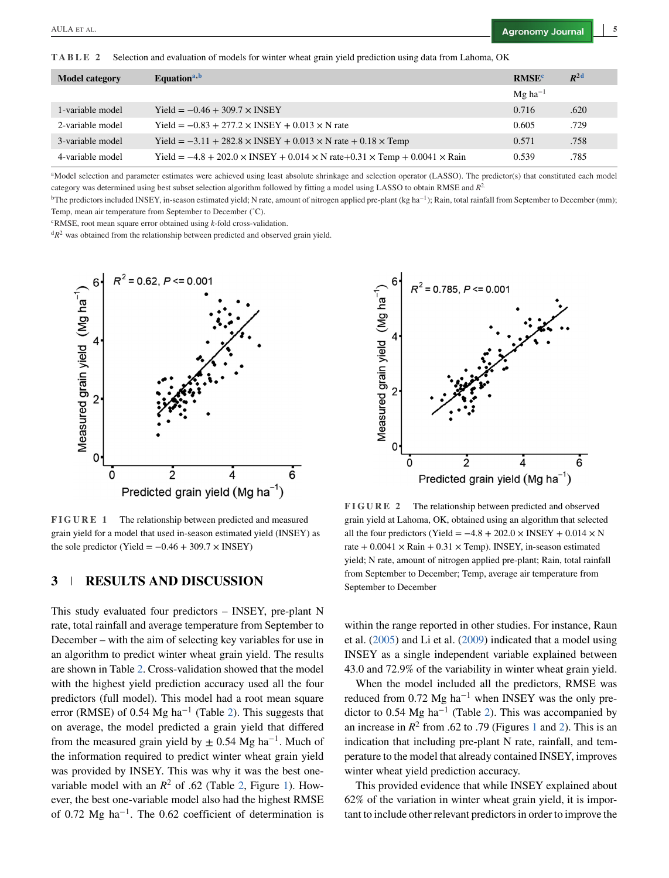<span id="page-4-0"></span>**TABLE 2** Selection and evaluation of models for winter wheat grain yield prediction using data from Lahoma, OK

| <b>Model category</b> | Equation <sup>a,b</sup>                                                                               | <b>RMSE<sup>c</sup></b> | $R^{2d}$ |
|-----------------------|-------------------------------------------------------------------------------------------------------|-------------------------|----------|
|                       |                                                                                                       | $Mg$ ha <sup>-1</sup>   |          |
| 1-variable model      | Yield = $-0.46 + 309.7 \times$ INSEY                                                                  | 0.716                   | .620     |
| 2-variable model      | Yield = $-0.83 + 277.2 \times$ INSEY + 0.013 $\times$ N rate                                          | 0.605                   | .729     |
| 3-variable model      | Yield = $-3.11 + 282.8 \times$ INSEY + 0.013 $\times$ N rate + 0.18 $\times$ Temp                     | 0.571                   | .758     |
| 4-variable model      | Yield = $-4.8 + 202.0 \times$ INSEY + 0.014 $\times$ N rate+0.31 $\times$ Temp + 0.0041 $\times$ Rain | 0.539                   | .785     |

<sup>a</sup>Model selection and parameter estimates were achieved using least absolute shrinkage and selection operator (LASSO). The predictor(s) that constituted each model category was determined using best subset selection algorithm followed by fitting a model using LASSO to obtain RMSE and *R*2.

bThe predictors included INSEY, in-season estimated yield; N rate, amount of nitrogen applied pre-plant (kg ha−1); Rain, total rainfall from September to December (mm); Temp, mean air temperature from September to December (˚C).

cRMSE, root mean square error obtained using *k*-fold cross-validation.

<sup>d</sup> $R^2$  was obtained from the relationship between predicted and observed grain yield.



**FIGURE 1** The relationship between predicted and measured grain yield for a model that used in-season estimated yield (INSEY) as the sole predictor (Yield =  $-0.46 + 309.7 \times$  INSEY)

## **3 RESULTS AND DISCUSSION**

This study evaluated four predictors – INSEY, pre-plant N rate, total rainfall and average temperature from September to December – with the aim of selecting key variables for use in an algorithm to predict winter wheat grain yield. The results are shown in Table 2. Cross-validation showed that the model with the highest yield prediction accuracy used all the four predictors (full model). This model had a root mean square error (RMSE) of 0.54 Mg ha<sup>-1</sup> (Table 2). This suggests that on average, the model predicted a grain yield that differed from the measured grain yield by  $\pm$  0.54 Mg ha<sup>-1</sup>. Much of the information required to predict winter wheat grain yield was provided by INSEY. This was why it was the best onevariable model with an  $R^2$  of .62 (Table 2, Figure 1). However, the best one-variable model also had the highest RMSE of 0.72 Mg ha<sup> $-1$ </sup>. The 0.62 coefficient of determination is



**FIGURE 2** The relationship between predicted and observed grain yield at Lahoma, OK, obtained using an algorithm that selected all the four predictors (Yield =  $-4.8 + 202.0 \times$  INSEY + 0.014 × N rate  $+ 0.0041 \times$  Rain  $+ 0.31 \times$  Temp). INSEY, in-season estimated yield; N rate, amount of nitrogen applied pre-plant; Rain, total rainfall from September to December; Temp, average air temperature from September to December

within the range reported in other studies. For instance, Raun et al. [\(2005\)](#page-8-0) and Li et al. [\(2009\)](#page-8-0) indicated that a model using INSEY as a single independent variable explained between 43.0 and 72.9% of the variability in winter wheat grain yield.

When the model included all the predictors, RMSE was reduced from 0.72 Mg ha<sup>-1</sup> when INSEY was the only predictor to 0.54 Mg ha−<sup>1</sup> (Table 2). This was accompanied by an increase in  $R^2$  from .62 to .79 (Figures 1 and 2). This is an indication that including pre-plant N rate, rainfall, and temperature to the model that already contained INSEY, improves winter wheat yield prediction accuracy.

This provided evidence that while INSEY explained about 62% of the variation in winter wheat grain yield, it is important to include other relevant predictors in order to improve the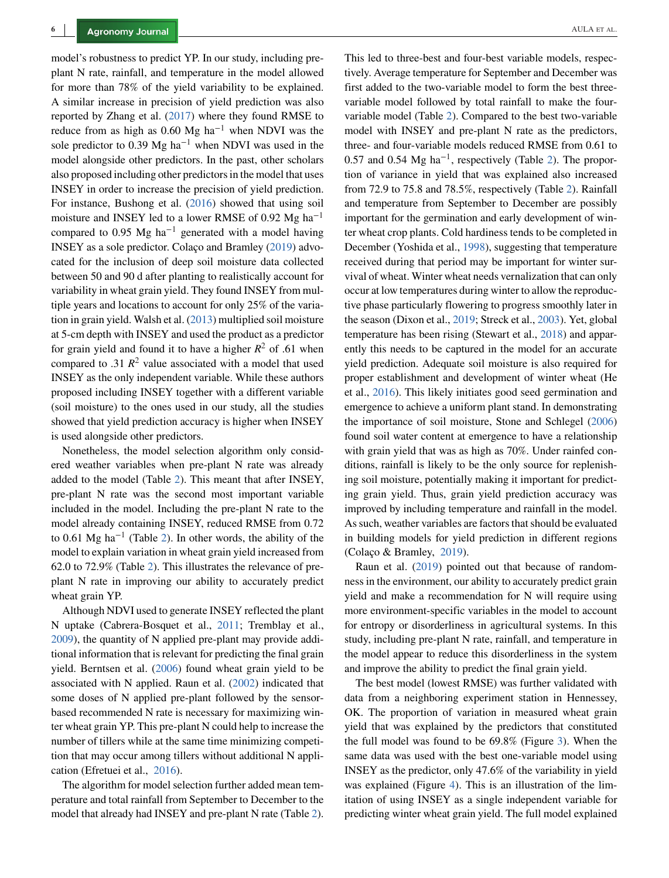model's robustness to predict YP. In our study, including preplant N rate, rainfall, and temperature in the model allowed for more than 78% of the yield variability to be explained. A similar increase in precision of yield prediction was also reported by Zhang et al. [\(2017\)](#page-9-0) where they found RMSE to reduce from as high as 0.60 Mg ha<sup>-1</sup> when NDVI was the sole predictor to 0.39 Mg ha<sup>-1</sup> when NDVI was used in the model alongside other predictors. In the past, other scholars also proposed including other predictors in the model that uses INSEY in order to increase the precision of yield prediction. For instance, Bushong et al. [\(2016\)](#page-7-0) showed that using soil moisture and INSEY led to a lower RMSE of 0.92 Mg ha<sup>-1</sup> compared to 0.95 Mg ha<sup>-1</sup> generated with a model having INSEY as a sole predictor. Colaço and Bramley [\(2019\)](#page-7-0) advocated for the inclusion of deep soil moisture data collected between 50 and 90 d after planting to realistically account for variability in wheat grain yield. They found INSEY from multiple years and locations to account for only 25% of the variation in grain yield. Walsh et al. [\(2013\)](#page-8-0) multiplied soil moisture at 5-cm depth with INSEY and used the product as a predictor for grain yield and found it to have a higher  $R^2$  of .61 when compared to .31  $\mathbb{R}^2$  value associated with a model that used INSEY as the only independent variable. While these authors proposed including INSEY together with a different variable (soil moisture) to the ones used in our study, all the studies showed that yield prediction accuracy is higher when INSEY is used alongside other predictors.

Nonetheless, the model selection algorithm only considered weather variables when pre-plant N rate was already added to the model (Table [2\)](#page-4-0). This meant that after INSEY, pre-plant N rate was the second most important variable included in the model. Including the pre-plant N rate to the model already containing INSEY, reduced RMSE from 0.72 to 0.61 Mg ha<sup>-1</sup> (Table [2\)](#page-4-0). In other words, the ability of the model to explain variation in wheat grain yield increased from 62.0 to 72.9% (Table [2\)](#page-4-0). This illustrates the relevance of preplant N rate in improving our ability to accurately predict wheat grain YP.

Although NDVI used to generate INSEY reflected the plant N uptake (Cabrera-Bosquet et al., [2011;](#page-7-0) Tremblay et al., [2009\)](#page-8-0), the quantity of N applied pre-plant may provide additional information that is relevant for predicting the final grain yield. Berntsen et al. [\(2006\)](#page-7-0) found wheat grain yield to be associated with N applied. Raun et al. [\(2002\)](#page-8-0) indicated that some doses of N applied pre-plant followed by the sensorbased recommended N rate is necessary for maximizing winter wheat grain YP. This pre-plant N could help to increase the number of tillers while at the same time minimizing competition that may occur among tillers without additional N application (Efretuei et al., [2016\)](#page-7-0).

The algorithm for model selection further added mean temperature and total rainfall from September to December to the model that already had INSEY and pre-plant N rate (Table [2\)](#page-4-0).

This led to three-best and four-best variable models, respectively. Average temperature for September and December was first added to the two-variable model to form the best threevariable model followed by total rainfall to make the fourvariable model (Table [2\)](#page-4-0). Compared to the best two-variable model with INSEY and pre-plant N rate as the predictors, three- and four-variable models reduced RMSE from 0.61 to 0.57 and 0.54 Mg ha<sup>-1</sup>, respectively (Table [2\)](#page-4-0). The proportion of variance in yield that was explained also increased from 72.9 to 75.8 and 78.5%, respectively (Table [2\)](#page-4-0). Rainfall and temperature from September to December are possibly important for the germination and early development of winter wheat crop plants. Cold hardiness tends to be completed in December (Yoshida et al., [1998\)](#page-9-0), suggesting that temperature received during that period may be important for winter survival of wheat. Winter wheat needs vernalization that can only occur at low temperatures during winter to allow the reproductive phase particularly flowering to progress smoothly later in the season (Dixon et al., [2019;](#page-7-0) Streck et al., [2003\)](#page-8-0). Yet, global temperature has been rising (Stewart et al., [2018\)](#page-8-0) and apparently this needs to be captured in the model for an accurate yield prediction. Adequate soil moisture is also required for proper establishment and development of winter wheat (He et al., [2016\)](#page-7-0). This likely initiates good seed germination and emergence to achieve a uniform plant stand. In demonstrating the importance of soil moisture, Stone and Schlegel [\(2006\)](#page-8-0) found soil water content at emergence to have a relationship with grain yield that was as high as 70%. Under rainfed conditions, rainfall is likely to be the only source for replenishing soil moisture, potentially making it important for predicting grain yield. Thus, grain yield prediction accuracy was improved by including temperature and rainfall in the model. As such, weather variables are factors that should be evaluated in building models for yield prediction in different regions (Colaço & Bramley, [2019\)](#page-7-0).

Raun et al. [\(2019\)](#page-8-0) pointed out that because of randomness in the environment, our ability to accurately predict grain yield and make a recommendation for N will require using more environment-specific variables in the model to account for entropy or disorderliness in agricultural systems. In this study, including pre-plant N rate, rainfall, and temperature in the model appear to reduce this disorderliness in the system and improve the ability to predict the final grain yield.

The best model (lowest RMSE) was further validated with data from a neighboring experiment station in Hennessey, OK. The proportion of variation in measured wheat grain yield that was explained by the predictors that constituted the full model was found to be 69.8% (Figure [3\)](#page-6-0). When the same data was used with the best one-variable model using INSEY as the predictor, only 47.6% of the variability in yield was explained (Figure [4\)](#page-6-0). This is an illustration of the limitation of using INSEY as a single independent variable for predicting winter wheat grain yield. The full model explained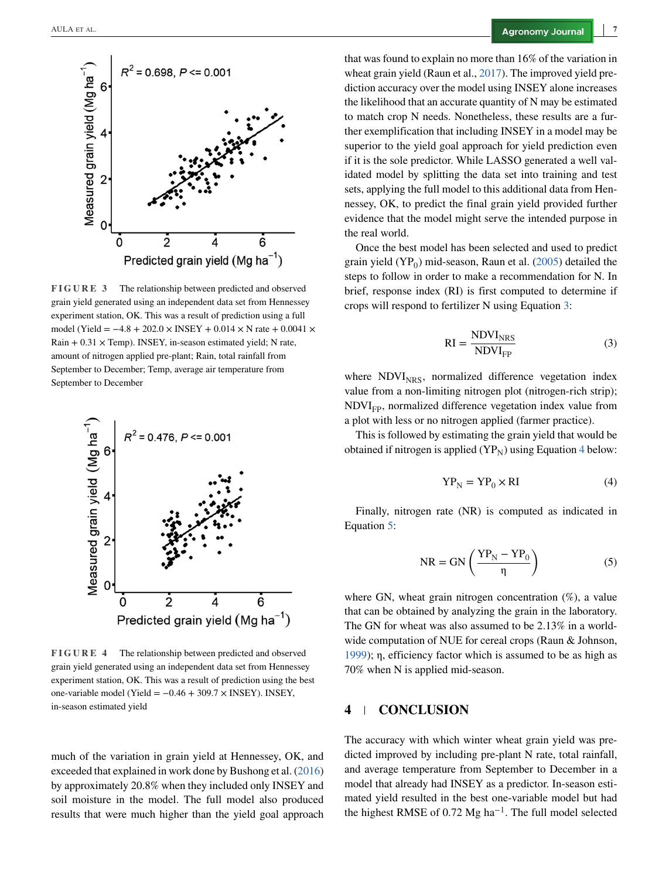<span id="page-6-0"></span>

**FIGURE 3** The relationship between predicted and observed grain yield generated using an independent data set from Hennessey experiment station, OK. This was a result of prediction using a full model (Yield =  $-4.8 + 202.0 \times$  INSEY + 0.014 × N rate + 0.0041 ×  $Rain + 0.31 \times Temp)$ . INSEY, in-season estimated yield; N rate, amount of nitrogen applied pre-plant; Rain, total rainfall from September to December; Temp, average air temperature from September to December



**FIGURE 4** The relationship between predicted and observed grain yield generated using an independent data set from Hennessey experiment station, OK. This was a result of prediction using the best one-variable model (Yield =  $-0.46 + 309.7 \times$  INSEY). INSEY, in-season estimated yield

much of the variation in grain yield at Hennessey, OK, and exceeded that explained in work done by Bushong et al. [\(2016\)](#page-7-0) by approximately 20.8% when they included only INSEY and soil moisture in the model. The full model also produced results that were much higher than the yield goal approach

that was found to explain no more than 16% of the variation in wheat grain yield (Raun et al., [2017\)](#page-8-0). The improved yield prediction accuracy over the model using INSEY alone increases the likelihood that an accurate quantity of N may be estimated to match crop N needs. Nonetheless, these results are a further exemplification that including INSEY in a model may be superior to the yield goal approach for yield prediction even if it is the sole predictor. While LASSO generated a well validated model by splitting the data set into training and test sets, applying the full model to this additional data from Hennessey, OK, to predict the final grain yield provided further evidence that the model might serve the intended purpose in the real world.

Once the best model has been selected and used to predict grain yield  $(YP_0)$  mid-season, Raun et al. [\(2005\)](#page-8-0) detailed the steps to follow in order to make a recommendation for N. In brief, response index (RI) is first computed to determine if crops will respond to fertilizer N using Equation 3:

$$
RI = \frac{NDVI_{NRS}}{NDVI_{FP}}
$$
 (3)

where  $NDVI<sub>NRS</sub>$ , normalized difference vegetation index value from a non-limiting nitrogen plot (nitrogen-rich strip);  $NDVI<sub>FP</sub>$ , normalized difference vegetation index value from a plot with less or no nitrogen applied (farmer practice).

This is followed by estimating the grain yield that would be obtained if nitrogen is applied  $(YP_N)$  using Equation 4 below:

$$
YP_N = YP_0 \times RI \tag{4}
$$

Finally, nitrogen rate (NR) is computed as indicated in Equation 5:

$$
NR = GN\left(\frac{YP_N - YP_0}{\eta}\right) \tag{5}
$$

where GN, wheat grain nitrogen concentration (%), a value that can be obtained by analyzing the grain in the laboratory. The GN for wheat was also assumed to be 2.13% in a worldwide computation of NUE for cereal crops (Raun & Johnson, [1999\)](#page-8-0); η, efficiency factor which is assumed to be as high as 70% when N is applied mid-season.

# **4 CONCLUSION**

The accuracy with which winter wheat grain yield was predicted improved by including pre-plant N rate, total rainfall, and average temperature from September to December in a model that already had INSEY as a predictor. In-season estimated yield resulted in the best one-variable model but had the highest RMSE of 0.72 Mg ha<sup>-1</sup>. The full model selected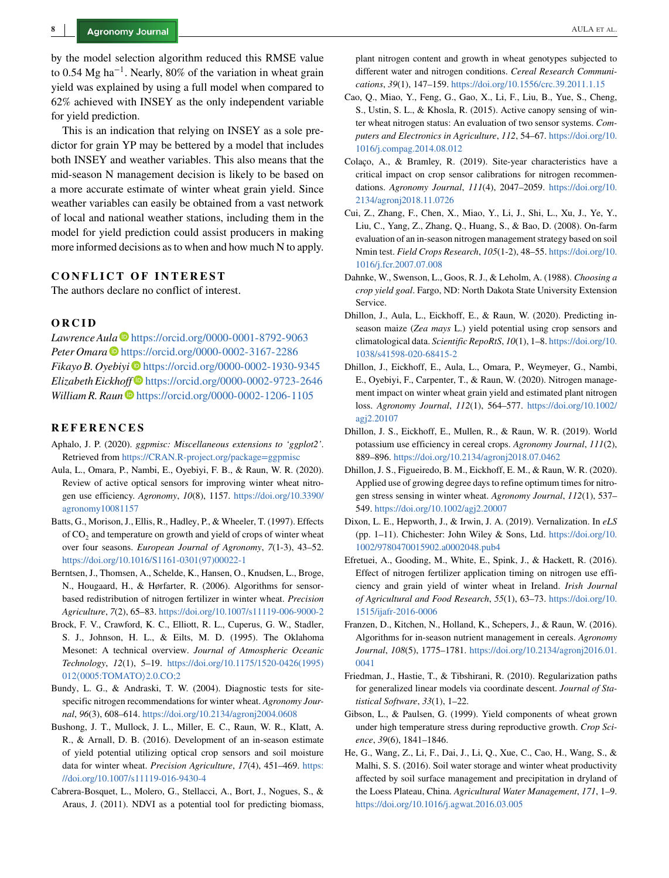<span id="page-7-0"></span>by the model selection algorithm reduced this RMSE value to 0.54 Mg ha<sup>-1</sup>. Nearly, 80% of the variation in wheat grain yield was explained by using a full model when compared to 62% achieved with INSEY as the only independent variable for yield prediction.

This is an indication that relying on INSEY as a sole predictor for grain YP may be bettered by a model that includes both INSEY and weather variables. This also means that the mid-season N management decision is likely to be based on a more accurate estimate of winter wheat grain yield. Since weather variables can easily be obtained from a vast network of local and national weather stations, including them in the model for yield prediction could assist producers in making more informed decisions as to when and how much N to apply.

## **CONFLICT OF INTEREST**

The authors declare no conflict of interest.

#### **ORCID**

Lawrence Aula<sup>®</sup> <https://orcid.org/0000-0001-8792-9063> *Peter Omara* <https://orcid.org/0000-0002-3167-2286> *Fikayo B. Oyebiyi* D<https://orcid.org/0000-0002-1930-9345> *Elizabeth Eickhoff* <https://orcid.org/0000-0002-9723-2646> *William R. Raun* **D** <https://orcid.org/0000-0002-1206-1105>

#### **REFERENCES**

- Aphalo, J. P. (2020). *ggpmisc: Miscellaneous extensions to 'ggplot2'*. Retrieved from <https://CRAN.R-project.org/package=ggpmisc>
- Aula, L., Omara, P., Nambi, E., Oyebiyi, F. B., & Raun, W. R. (2020). Review of active optical sensors for improving winter wheat nitrogen use efficiency. *Agronomy*, *10*(8), 1157. [https://doi.org/10.3390/](https://doi.org/10.3390/agronomy10081157) [agronomy10081157](https://doi.org/10.3390/agronomy10081157)
- Batts, G., Morison, J., Ellis, R., Hadley, P., & Wheeler, T. (1997). Effects of CO<sub>2</sub> and temperature on growth and yield of crops of winter wheat over four seasons. *European Journal of Agronomy*, *7*(1-3), 43–52. [https://doi.org/10.1016/S1161-0301\(97\)00022-1](https://doi.org/10.1016/S1161-0301(97)00022-1)
- Berntsen, J., Thomsen, A., Schelde, K., Hansen, O., Knudsen, L., Broge, N., Hougaard, H., & Hørfarter, R. (2006). Algorithms for sensorbased redistribution of nitrogen fertilizer in winter wheat. *Precision Agriculture*, *7*(2), 65–83. <https://doi.org/10.1007/s11119-006-9000-2>
- Brock, F. V., Crawford, K. C., Elliott, R. L., Cuperus, G. W., Stadler, S. J., Johnson, H. L., & Eilts, M. D. (1995). The Oklahoma Mesonet: A technical overview. *Journal of Atmospheric Oceanic Technology*, *12*(1), 5–19. [https://doi.org/10.1175/1520-0426\(1995\)](https://doi.org/10.1175/1520-0426(1995)012%3C0005:TOMATO%3E2.0.CO;2) <sup>012</sup>⟨[0005:TOMATO](https://doi.org/10.1175/1520-0426(1995)012%3C0005:TOMATO%3E2.0.CO;2)⟩2.0.CO;2
- Bundy, L. G., & Andraski, T. W. (2004). Diagnostic tests for sitespecific nitrogen recommendations for winter wheat. *Agronomy Journal*, *96*(3), 608–614. <https://doi.org/10.2134/agronj2004.0608>
- Bushong, J. T., Mullock, J. L., Miller, E. C., Raun, W. R., Klatt, A. R., & Arnall, D. B. (2016). Development of an in-season estimate of yield potential utilizing optical crop sensors and soil moisture data for winter wheat. *Precision Agriculture*, *17*(4), 451–469. [https:](https://doi.org/10.1007/s11119-016-9430-4) [//doi.org/10.1007/s11119-016-9430-4](https://doi.org/10.1007/s11119-016-9430-4)
- Cabrera-Bosquet, L., Molero, G., Stellacci, A., Bort, J., Nogues, S., & Araus, J. (2011). NDVI as a potential tool for predicting biomass,

plant nitrogen content and growth in wheat genotypes subjected to different water and nitrogen conditions. *Cereal Research Communications*, *39*(1), 147–159. <https://doi.org/10.1556/crc.39.2011.1.15>

- Cao, Q., Miao, Y., Feng, G., Gao, X., Li, F., Liu, B., Yue, S., Cheng, S., Ustin, S. L., & Khosla, R. (2015). Active canopy sensing of winter wheat nitrogen status: An evaluation of two sensor systems. *Computers and Electronics in Agriculture*, *112*, 54–67. [https://doi.org/10.](https://doi.org/10.1016/j.compag.2014.08.012) [1016/j.compag.2014.08.012](https://doi.org/10.1016/j.compag.2014.08.012)
- Colaço, A., & Bramley, R. (2019). Site-year characteristics have a critical impact on crop sensor calibrations for nitrogen recommendations. *Agronomy Journal*, *111*(4), 2047–2059. [https://doi.org/10.](https://doi.org/10.2134/agronj2018.11.0726) [2134/agronj2018.11.0726](https://doi.org/10.2134/agronj2018.11.0726)
- Cui, Z., Zhang, F., Chen, X., Miao, Y., Li, J., Shi, L., Xu, J., Ye, Y., Liu, C., Yang, Z., Zhang, Q., Huang, S., & Bao, D. (2008). On-farm evaluation of an in-season nitrogen management strategy based on soil Nmin test. *Field Crops Research*, *105*(1-2), 48–55. [https://doi.org/10.](https://doi.org/10.1016/j.fcr.2007.07.008) [1016/j.fcr.2007.07.008](https://doi.org/10.1016/j.fcr.2007.07.008)
- Dahnke, W., Swenson, L., Goos, R. J., & Leholm, A. (1988). *Choosing a crop yield goal*. Fargo, ND: North Dakota State University Extension Service.
- Dhillon, J., Aula, L., Eickhoff, E., & Raun, W. (2020). Predicting inseason maize (*Zea mays* L.) yield potential using crop sensors and climatological data. *Scientific RepoRtS*, *10*(1), 1–8. [https://doi.org/10.](https://doi.org/10.1038/s41598-020-68415-2) [1038/s41598-020-68415-2](https://doi.org/10.1038/s41598-020-68415-2)
- Dhillon, J., Eickhoff, E., Aula, L., Omara, P., Weymeyer, G., Nambi, E., Oyebiyi, F., Carpenter, T., & Raun, W. (2020). Nitrogen management impact on winter wheat grain yield and estimated plant nitrogen loss. *Agronomy Journal*, *112*(1), 564–577. [https://doi.org/10.1002/](https://doi.org/10.1002/agj2.20107) [agj2.20107](https://doi.org/10.1002/agj2.20107)
- Dhillon, J. S., Eickhoff, E., Mullen, R., & Raun, W. R. (2019). World potassium use efficiency in cereal crops. *Agronomy Journal*, *111*(2), 889–896. <https://doi.org/10.2134/agronj2018.07.0462>
- Dhillon, J. S., Figueiredo, B. M., Eickhoff, E. M., & Raun, W. R. (2020). Applied use of growing degree days to refine optimum times for nitrogen stress sensing in winter wheat. *Agronomy Journal*, *112*(1), 537– 549. <https://doi.org/10.1002/agj2.20007>
- Dixon, L. E., Hepworth, J., & Irwin, J. A. (2019). Vernalization. In *eLS* (pp. 1–11). Chichester: John Wiley & Sons, Ltd. [https://doi.org/10.](https://doi.org/10.1002/9780470015902.a0002048.pub4) [1002/9780470015902.a0002048.pub4](https://doi.org/10.1002/9780470015902.a0002048.pub4)
- Efretuei, A., Gooding, M., White, E., Spink, J., & Hackett, R. (2016). Effect of nitrogen fertilizer application timing on nitrogen use efficiency and grain yield of winter wheat in Ireland. *Irish Journal of Agricultural and Food Research*, *55*(1), 63–73. [https://doi.org/10.](https://doi.org/10.1515/ijafr-2016-0006) [1515/ijafr-2016-0006](https://doi.org/10.1515/ijafr-2016-0006)
- Franzen, D., Kitchen, N., Holland, K., Schepers, J., & Raun, W. (2016). Algorithms for in-season nutrient management in cereals. *Agronomy Journal*, *108*(5), 1775–1781. [https://doi.org/10.2134/agronj2016.01.](https://doi.org/10.2134/agronj2016.01.0041) [0041](https://doi.org/10.2134/agronj2016.01.0041)
- Friedman, J., Hastie, T., & Tibshirani, R. (2010). Regularization paths for generalized linear models via coordinate descent. *Journal of Statistical Software*, *33*(1), 1–22.
- Gibson, L., & Paulsen, G. (1999). Yield components of wheat grown under high temperature stress during reproductive growth. *Crop Science*, *39*(6), 1841–1846.
- He, G., Wang, Z., Li, F., Dai, J., Li, Q., Xue, C., Cao, H., Wang, S., & Malhi, S. S. (2016). Soil water storage and winter wheat productivity affected by soil surface management and precipitation in dryland of the Loess Plateau, China. *Agricultural Water Management*, *171*, 1–9. <https://doi.org/10.1016/j.agwat.2016.03.005>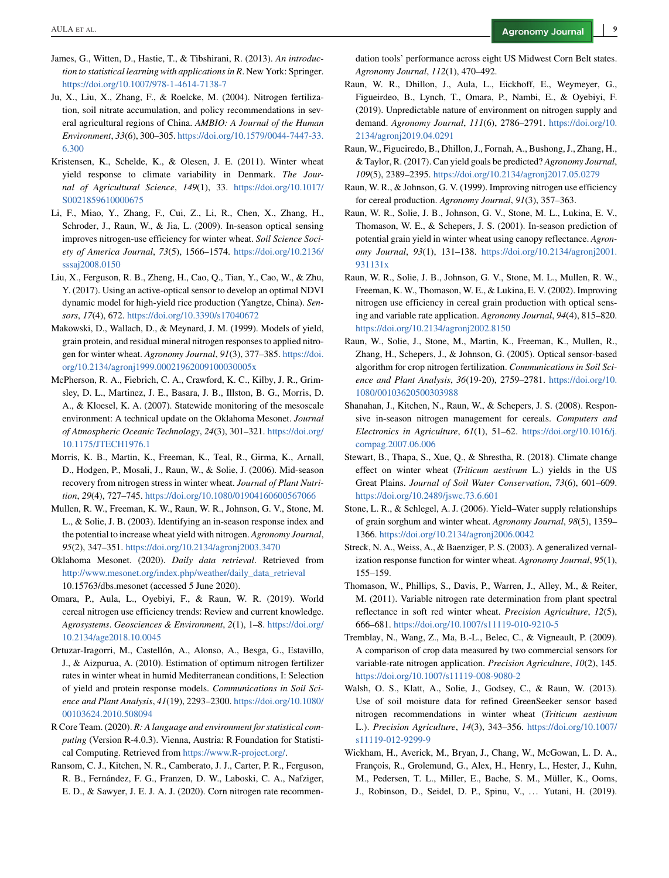- <span id="page-8-0"></span>James, G., Witten, D., Hastie, T., & Tibshirani, R. (2013). *An introduction to statistical learning with applications in R*. New York: Springer. <https://doi.org/10.1007/978-1-4614-7138-7>
- Ju, X., Liu, X., Zhang, F., & Roelcke, M. (2004). Nitrogen fertilization, soil nitrate accumulation, and policy recommendations in several agricultural regions of China. *AMBIO: A Journal of the Human Environment*, *33*(6), 300–305. [https://doi.org/10.1579/0044-7447-33.](https://doi.org/10.1579/0044-7447-33.6.300) [6.300](https://doi.org/10.1579/0044-7447-33.6.300)
- Kristensen, K., Schelde, K., & Olesen, J. E. (2011). Winter wheat yield response to climate variability in Denmark. *The Journal of Agricultural Science*, *149*(1), 33. [https://doi.org/10.1017/](https://doi.org/10.1017/S0021859610000675) [S0021859610000675](https://doi.org/10.1017/S0021859610000675)
- Li, F., Miao, Y., Zhang, F., Cui, Z., Li, R., Chen, X., Zhang, H., Schroder, J., Raun, W., & Jia, L. (2009). In-season optical sensing improves nitrogen-use efficiency for winter wheat. *Soil Science Society of America Journal*, *73*(5), 1566–1574. [https://doi.org/10.2136/](https://doi.org/10.2136/sssaj2008.0150) [sssaj2008.0150](https://doi.org/10.2136/sssaj2008.0150)
- Liu, X., Ferguson, R. B., Zheng, H., Cao, Q., Tian, Y., Cao, W., & Zhu, Y. (2017). Using an active-optical sensor to develop an optimal NDVI dynamic model for high-yield rice production (Yangtze, China). *Sensors*, *17*(4), 672. <https://doi.org/10.3390/s17040672>
- Makowski, D., Wallach, D., & Meynard, J. M. (1999). Models of yield, grain protein, and residual mineral nitrogen responses to applied nitrogen for winter wheat. *Agronomy Journal*, *91*(3), 377–385. [https://doi.](https://doi.org/10.2134/agronj1999.00021962009100030005x) [org/10.2134/agronj1999.00021962009100030005x](https://doi.org/10.2134/agronj1999.00021962009100030005x)
- McPherson, R. A., Fiebrich, C. A., Crawford, K. C., Kilby, J. R., Grimsley, D. L., Martinez, J. E., Basara, J. B., Illston, B. G., Morris, D. A., & Kloesel, K. A. (2007). Statewide monitoring of the mesoscale environment: A technical update on the Oklahoma Mesonet. *Journal of Atmospheric Oceanic Technology*, *24*(3), 301–321. [https://doi.org/](https://doi.org/10.1175/JTECH1976.1) [10.1175/JTECH1976.1](https://doi.org/10.1175/JTECH1976.1)
- Morris, K. B., Martin, K., Freeman, K., Teal, R., Girma, K., Arnall, D., Hodgen, P., Mosali, J., Raun, W., & Solie, J. (2006). Mid-season recovery from nitrogen stress in winter wheat. *Journal of Plant Nutrition*, *29*(4), 727–745. <https://doi.org/10.1080/01904160600567066>
- Mullen, R. W., Freeman, K. W., Raun, W. R., Johnson, G. V., Stone, M. L., & Solie, J. B. (2003). Identifying an in-season response index and the potential to increase wheat yield with nitrogen. *Agronomy Journal*, *95*(2), 347–351. <https://doi.org/10.2134/agronj2003.3470>
- Oklahoma Mesonet. (2020). *Daily data retrieval*. Retrieved from [http://www.mesonet.org/index.php/weather/daily\\_data\\_retrieval](http://www.mesonet.org/index.php/weather/daily_data_retrieval) 10.15763/dbs.mesonet (accessed 5 June 2020).
- Omara, P., Aula, L., Oyebiyi, F., & Raun, W. R. (2019). World cereal nitrogen use efficiency trends: Review and current knowledge. *Agrosystems*. *Geosciences & Environment*, *2*(1), 1–8. [https://doi.org/](https://doi.org/10.2134/age2018.10.0045) [10.2134/age2018.10.0045](https://doi.org/10.2134/age2018.10.0045)
- Ortuzar-Iragorri, M., Castellón, A., Alonso, A., Besga, G., Estavillo, J., & Aizpurua, A. (2010). Estimation of optimum nitrogen fertilizer rates in winter wheat in humid Mediterranean conditions, I: Selection of yield and protein response models. *Communications in Soil Science and Plant Analysis*, *41*(19), 2293–2300. [https://doi.org/10.1080/](https://doi.org/10.1080/00103624.2010.508094) [00103624.2010.508094](https://doi.org/10.1080/00103624.2010.508094)
- R Core Team. (2020). *R: A language and environment for statistical computing* (Version R-4.0.3). Vienna, Austria: R Foundation for Statistical Computing. Retrieved from [https://www.R-project.org/.](https://www.R-project.org/)
- Ransom, C. J., Kitchen, N. R., Camberato, J. J., Carter, P. R., Ferguson, R. B., Fernández, F. G., Franzen, D. W., Laboski, C. A., Nafziger, E. D., & Sawyer, J. E. J. A. J. (2020). Corn nitrogen rate recommen-

dation tools' performance across eight US Midwest Corn Belt states. *Agronomy Journal*, *112*(1), 470–492.

- Raun, W. R., Dhillon, J., Aula, L., Eickhoff, E., Weymeyer, G., Figueirdeo, B., Lynch, T., Omara, P., Nambi, E., & Oyebiyi, F. (2019). Unpredictable nature of environment on nitrogen supply and demand. *Agronomy Journal*, *111*(6), 2786–2791. [https://doi.org/10.](https://doi.org/10.2134/agronj2019.04.0291) [2134/agronj2019.04.0291](https://doi.org/10.2134/agronj2019.04.0291)
- Raun, W., Figueiredo, B., Dhillon, J., Fornah, A., Bushong, J., Zhang, H., & Taylor, R. (2017). Can yield goals be predicted? *Agronomy Journal*, *109*(5), 2389–2395. <https://doi.org/10.2134/agronj2017.05.0279>
- Raun, W. R., & Johnson, G. V. (1999). Improving nitrogen use efficiency for cereal production. *Agronomy Journal*, *91*(3), 357–363.
- Raun, W. R., Solie, J. B., Johnson, G. V., Stone, M. L., Lukina, E. V., Thomason, W. E., & Schepers, J. S. (2001). In-season prediction of potential grain yield in winter wheat using canopy reflectance. *Agronomy Journal*, *93*(1), 131–138. [https://doi.org/10.2134/agronj2001.](https://doi.org/10.2134/agronj2001.931131x) [931131x](https://doi.org/10.2134/agronj2001.931131x)
- Raun, W. R., Solie, J. B., Johnson, G. V., Stone, M. L., Mullen, R. W., Freeman, K. W., Thomason, W. E., & Lukina, E. V. (2002). Improving nitrogen use efficiency in cereal grain production with optical sensing and variable rate application. *Agronomy Journal*, *94*(4), 815–820. <https://doi.org/10.2134/agronj2002.8150>
- Raun, W., Solie, J., Stone, M., Martin, K., Freeman, K., Mullen, R., Zhang, H., Schepers, J., & Johnson, G. (2005). Optical sensor-based algorithm for crop nitrogen fertilization. *Communications in Soil Science and Plant Analysis*, *36*(19-20), 2759–2781. [https://doi.org/10.](https://doi.org/10.1080/00103620500303988) [1080/00103620500303988](https://doi.org/10.1080/00103620500303988)
- Shanahan, J., Kitchen, N., Raun, W., & Schepers, J. S. (2008). Responsive in-season nitrogen management for cereals. *Computers and Electronics in Agriculture*, *61*(1), 51–62. [https://doi.org/10.1016/j.](https://doi.org/10.1016/j.compag.2007.06.006) [compag.2007.06.006](https://doi.org/10.1016/j.compag.2007.06.006)
- Stewart, B., Thapa, S., Xue, Q., & Shrestha, R. (2018). Climate change effect on winter wheat (*Triticum aestivum* L.) yields in the US Great Plains. *Journal of Soil Water Conservation*, *73*(6), 601–609. <https://doi.org/10.2489/jswc.73.6.601>
- Stone, L. R., & Schlegel, A. J. (2006). Yield–Water supply relationships of grain sorghum and winter wheat. *Agronomy Journal*, *98*(5), 1359– 1366. <https://doi.org/10.2134/agronj2006.0042>
- Streck, N. A., Weiss, A., & Baenziger, P. S. (2003). A generalized vernalization response function for winter wheat. *Agronomy Journal*, *95*(1), 155–159.
- Thomason, W., Phillips, S., Davis, P., Warren, J., Alley, M., & Reiter, M. (2011). Variable nitrogen rate determination from plant spectral reflectance in soft red winter wheat. *Precision Agriculture*, *12*(5), 666–681. <https://doi.org/10.1007/s11119-010-9210-5>
- Tremblay, N., Wang, Z., Ma, B.-L., Belec, C., & Vigneault, P. (2009). A comparison of crop data measured by two commercial sensors for variable-rate nitrogen application. *Precision Agriculture*, *10*(2), 145. <https://doi.org/10.1007/s11119-008-9080-2>
- Walsh, O. S., Klatt, A., Solie, J., Godsey, C., & Raun, W. (2013). Use of soil moisture data for refined GreenSeeker sensor based nitrogen recommendations in winter wheat (*Triticum aestivum* L.). *Precision Agriculture*, *14*(3), 343–356. [https://doi.org/10.1007/](https://doi.org/10.1007/s11119-012-9299-9) [s11119-012-9299-9](https://doi.org/10.1007/s11119-012-9299-9)
- Wickham, H., Averick, M., Bryan, J., Chang, W., McGowan, L. D. A., François, R., Grolemund, G., Alex, H., Henry, L., Hester, J., Kuhn, M., Pedersen, T. L., Miller, E., Bache, S. M., Müller, K., Ooms, J., Robinson, D., Seidel, D. P., Spinu, V., ... Yutani, H. (2019).